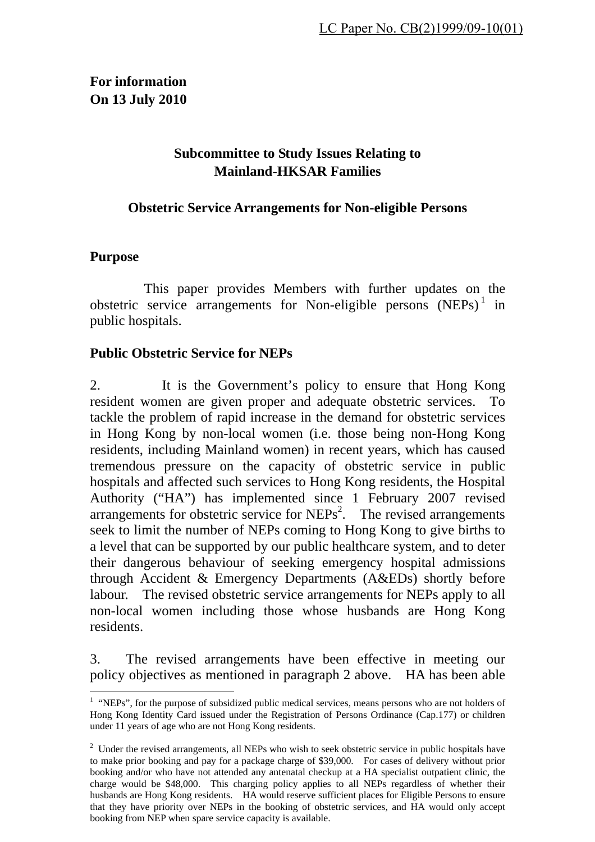**For information On 13 July 2010** 

# **Subcommittee to Study Issues Relating to Mainland-HKSAR Families**

### **Obstetric Service Arrangements for Non-eligible Persons**

## **Purpose**

 This paper provides Members with further updates on the obstetric service arrangements for Non-eligible persons  $(NEPs)^1$  in public hospitals.

## **Public Obstetric Service for NEPs**

2. It is the Government's policy to ensure that Hong Kong resident women are given proper and adequate obstetric services. To tackle the problem of rapid increase in the demand for obstetric services in Hong Kong by non-local women (i.e. those being non-Hong Kong residents, including Mainland women) in recent years, which has caused tremendous pressure on the capacity of obstetric service in public hospitals and affected such services to Hong Kong residents, the Hospital Authority ("HA") has implemented since 1 February 2007 revised arrangements for obstetric service for  $NEPs<sup>2</sup>$  $NEPs<sup>2</sup>$  $NEPs<sup>2</sup>$ . The revised arrangements seek to limit the number of NEPs coming to Hong Kong to give births to a level that can be supported by our public healthcare system, and to deter their dangerous behaviour of seeking emergency hospital admissions through Accident & Emergency Departments (A&EDs) shortly before labour. The revised obstetric service arrangements for NEPs apply to all non-local women including those whose husbands are Hong Kong residents.

3. The revised arrangements have been effective in meeting our policy objectives as mentioned in paragraph 2 above. HA has been able

<span id="page-0-0"></span> 1 "NEPs", for the purpose of subsidized public medical services, means persons who are not holders of Hong Kong Identity Card issued under the Registration of Persons Ordinance (Cap.177) or children under 11 years of age who are not Hong Kong residents.

<span id="page-0-1"></span> $2$  Under the revised arrangements, all NEPs who wish to seek obstetric service in public hospitals have to make prior booking and pay for a package charge of \$39,000. For cases of delivery without prior booking and/or who have not attended any antenatal checkup at a HA specialist outpatient clinic, the charge would be \$48,000. This charging policy applies to all NEPs regardless of whether their husbands are Hong Kong residents. HA would reserve sufficient places for Eligible Persons to ensure that they have priority over NEPs in the booking of obstetric services, and HA would only accept booking from NEP when spare service capacity is available.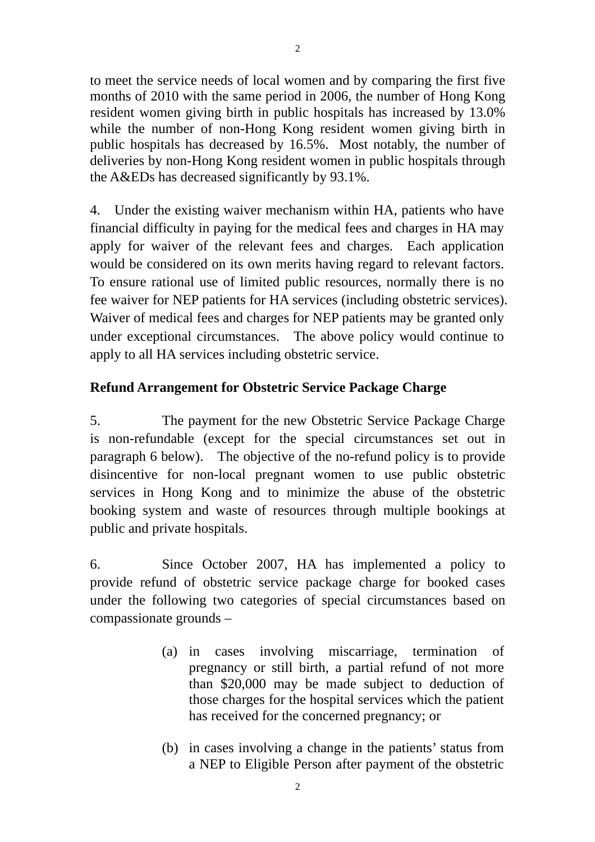to meet the service needs of local women and by comparing the first five months of 2010 with the same period in 2006, the number of Hong Kong resident women giving birth in public hospitals has increased by 13.0% while the number of non-Hong Kong resident women giving birth in public hospitals has decreased by 16.5%. Most notably, the number of deliveries by non-Hong Kong resident women in public hospitals through the A&EDs has decreased significantly by 93.1%.

4. Under the existing waiver mechanism within HA, patients who have financial difficulty in paying for the medical fees and charges in HA may apply for waiver of the relevant fees and charges. Each application would be considered on its own merits having regard to relevant factors. To ensure rational use of limited public resources, normally there is no fee waiver for NEP patients for HA services (including obstetric services). Waiver of medical fees and charges for NEP patients may be granted only under exceptional circumstances. The above policy would continue to apply to all HA services including obstetric service.

## **Refund Arrangement for Obstetric Service Package Charge**

5. The payment for the new Obstetric Service Package Charge is non-refundable (except for the special circumstances set out in paragraph 6 below). The objective of the no-refund policy is to provide disincentive for non-local pregnant women to use public obstetric services in Hong Kong and to minimize the abuse of the obstetric booking system and waste of resources through multiple bookings at public and private hospitals.

6. Since October 2007, HA has implemented a policy to provide refund of obstetric service package charge for booked cases under the following two categories of special circumstances based on compassionate grounds –

- (a) in cases involving miscarriage, termination of pregnancy or still birth, a partial refund of not more than \$20,000 may be made subject to deduction of those charges for the hospital services which the patient has received for the concerned pregnancy; or
- (b) in cases involving a change in the patients' status from a NEP to Eligible Person after payment of the obstetric